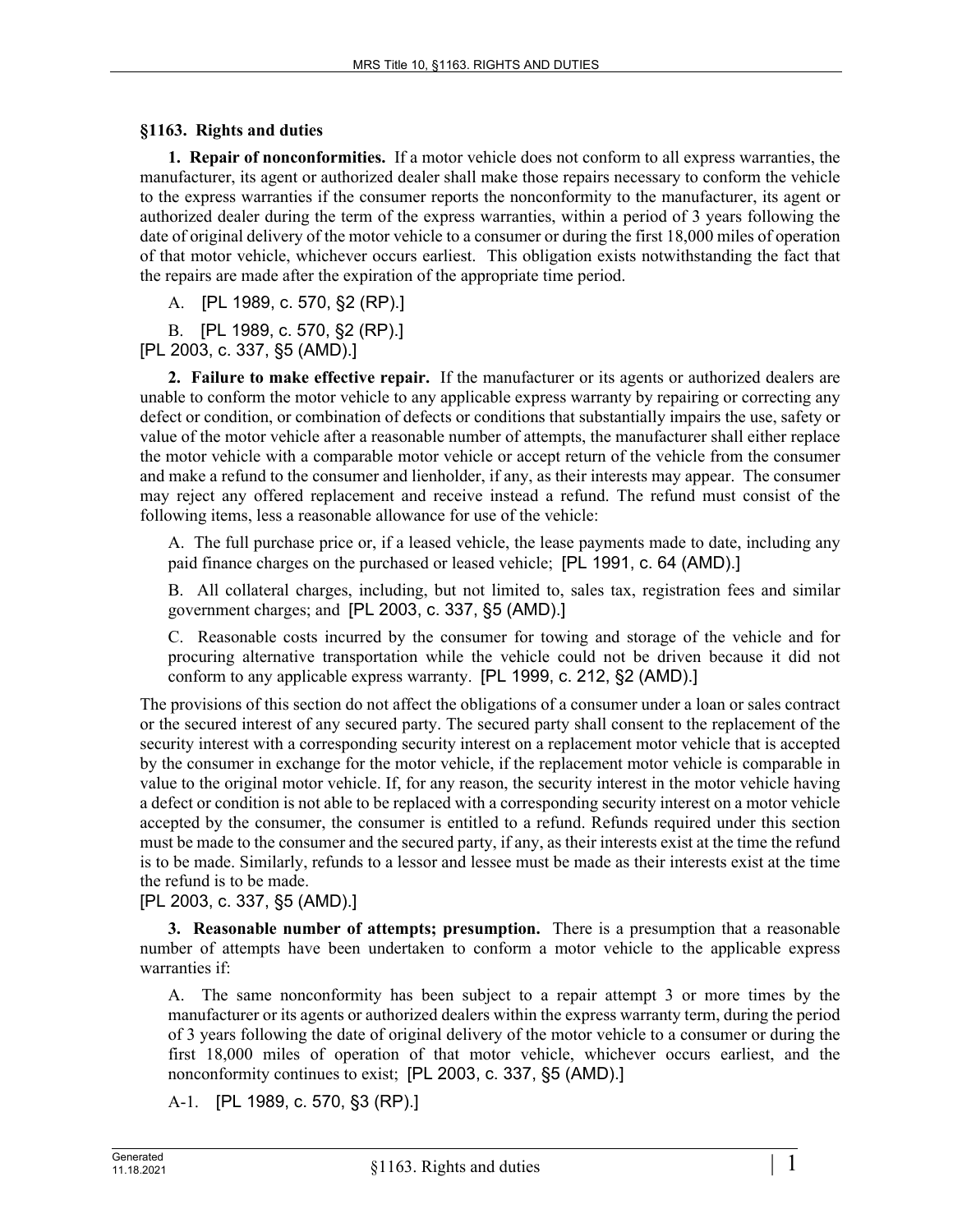## **§1163. Rights and duties**

**1. Repair of nonconformities.** If a motor vehicle does not conform to all express warranties, the manufacturer, its agent or authorized dealer shall make those repairs necessary to conform the vehicle to the express warranties if the consumer reports the nonconformity to the manufacturer, its agent or authorized dealer during the term of the express warranties, within a period of 3 years following the date of original delivery of the motor vehicle to a consumer or during the first 18,000 miles of operation of that motor vehicle, whichever occurs earliest. This obligation exists notwithstanding the fact that the repairs are made after the expiration of the appropriate time period.

A. [PL 1989, c. 570, §2 (RP).]

B. [PL 1989, c. 570, §2 (RP).]

[PL 2003, c. 337, §5 (AMD).]

**2. Failure to make effective repair.** If the manufacturer or its agents or authorized dealers are unable to conform the motor vehicle to any applicable express warranty by repairing or correcting any defect or condition, or combination of defects or conditions that substantially impairs the use, safety or value of the motor vehicle after a reasonable number of attempts, the manufacturer shall either replace the motor vehicle with a comparable motor vehicle or accept return of the vehicle from the consumer and make a refund to the consumer and lienholder, if any, as their interests may appear. The consumer may reject any offered replacement and receive instead a refund. The refund must consist of the following items, less a reasonable allowance for use of the vehicle:

A. The full purchase price or, if a leased vehicle, the lease payments made to date, including any paid finance charges on the purchased or leased vehicle; [PL 1991, c. 64 (AMD).]

B. All collateral charges, including, but not limited to, sales tax, registration fees and similar government charges; and [PL 2003, c. 337, §5 (AMD).]

C. Reasonable costs incurred by the consumer for towing and storage of the vehicle and for procuring alternative transportation while the vehicle could not be driven because it did not conform to any applicable express warranty. [PL 1999, c. 212, §2 (AMD).]

The provisions of this section do not affect the obligations of a consumer under a loan or sales contract or the secured interest of any secured party. The secured party shall consent to the replacement of the security interest with a corresponding security interest on a replacement motor vehicle that is accepted by the consumer in exchange for the motor vehicle, if the replacement motor vehicle is comparable in value to the original motor vehicle. If, for any reason, the security interest in the motor vehicle having a defect or condition is not able to be replaced with a corresponding security interest on a motor vehicle accepted by the consumer, the consumer is entitled to a refund. Refunds required under this section must be made to the consumer and the secured party, if any, as their interests exist at the time the refund is to be made. Similarly, refunds to a lessor and lessee must be made as their interests exist at the time the refund is to be made.

[PL 2003, c. 337, §5 (AMD).]

**3. Reasonable number of attempts; presumption.** There is a presumption that a reasonable number of attempts have been undertaken to conform a motor vehicle to the applicable express warranties if:

A. The same nonconformity has been subject to a repair attempt 3 or more times by the manufacturer or its agents or authorized dealers within the express warranty term, during the period of 3 years following the date of original delivery of the motor vehicle to a consumer or during the first 18,000 miles of operation of that motor vehicle, whichever occurs earliest, and the nonconformity continues to exist; [PL 2003, c. 337, §5 (AMD).]

A-1. [PL 1989, c. 570, §3 (RP).]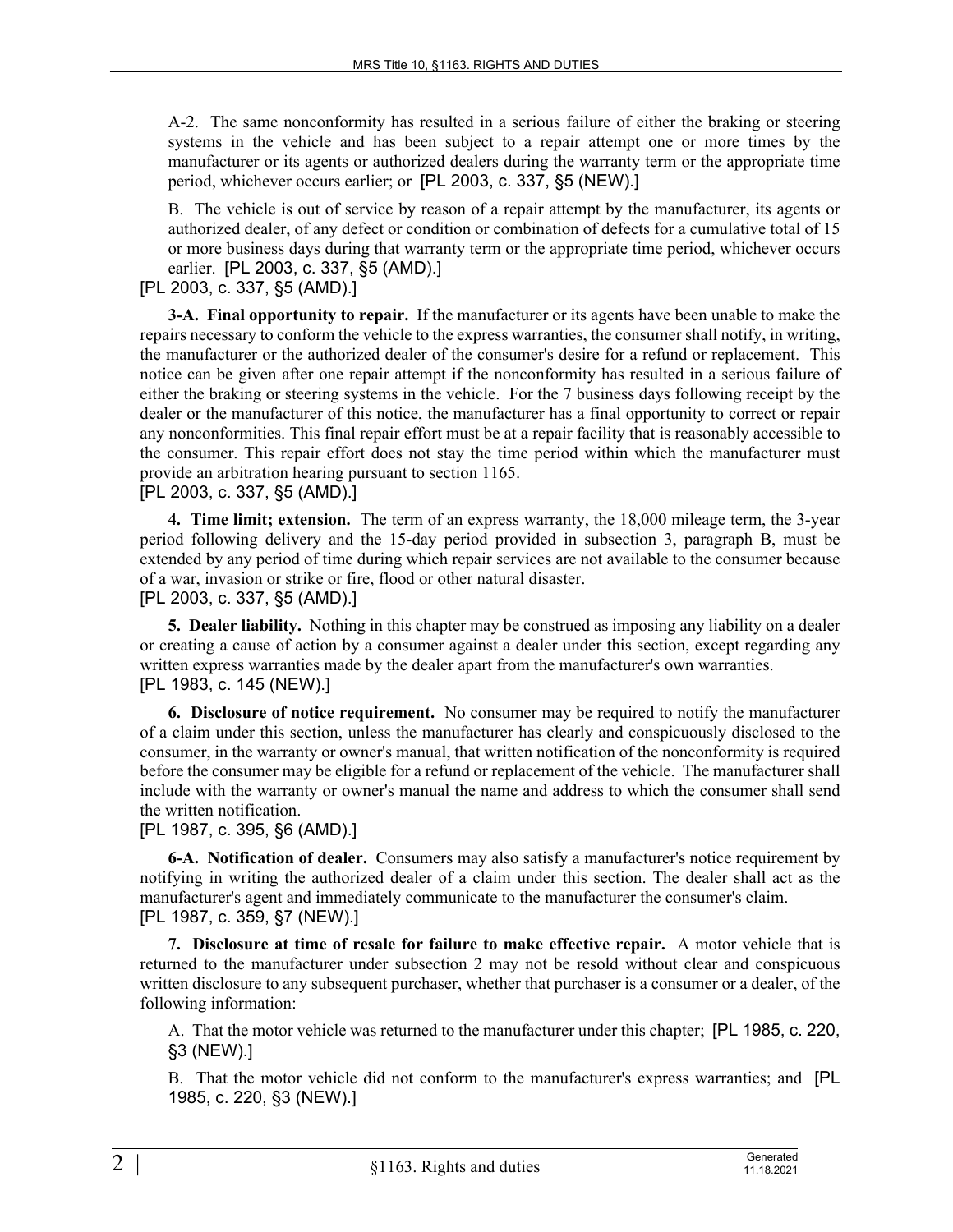A-2. The same nonconformity has resulted in a serious failure of either the braking or steering systems in the vehicle and has been subject to a repair attempt one or more times by the manufacturer or its agents or authorized dealers during the warranty term or the appropriate time period, whichever occurs earlier; or [PL 2003, c. 337, §5 (NEW).]

B. The vehicle is out of service by reason of a repair attempt by the manufacturer, its agents or authorized dealer, of any defect or condition or combination of defects for a cumulative total of 15 or more business days during that warranty term or the appropriate time period, whichever occurs earlier. [PL 2003, c. 337, §5 (AMD).]

[PL 2003, c. 337, §5 (AMD).]

**3-A. Final opportunity to repair.** If the manufacturer or its agents have been unable to make the repairs necessary to conform the vehicle to the express warranties, the consumer shall notify, in writing, the manufacturer or the authorized dealer of the consumer's desire for a refund or replacement. This notice can be given after one repair attempt if the nonconformity has resulted in a serious failure of either the braking or steering systems in the vehicle. For the 7 business days following receipt by the dealer or the manufacturer of this notice, the manufacturer has a final opportunity to correct or repair any nonconformities. This final repair effort must be at a repair facility that is reasonably accessible to the consumer. This repair effort does not stay the time period within which the manufacturer must provide an arbitration hearing pursuant to section 1165.

[PL 2003, c. 337, §5 (AMD).]

**4. Time limit; extension.** The term of an express warranty, the 18,000 mileage term, the 3-year period following delivery and the 15-day period provided in subsection 3, paragraph B, must be extended by any period of time during which repair services are not available to the consumer because of a war, invasion or strike or fire, flood or other natural disaster.

[PL 2003, c. 337, §5 (AMD).]

**5. Dealer liability.** Nothing in this chapter may be construed as imposing any liability on a dealer or creating a cause of action by a consumer against a dealer under this section, except regarding any written express warranties made by the dealer apart from the manufacturer's own warranties. [PL 1983, c. 145 (NEW).]

**6. Disclosure of notice requirement.** No consumer may be required to notify the manufacturer of a claim under this section, unless the manufacturer has clearly and conspicuously disclosed to the consumer, in the warranty or owner's manual, that written notification of the nonconformity is required before the consumer may be eligible for a refund or replacement of the vehicle. The manufacturer shall include with the warranty or owner's manual the name and address to which the consumer shall send the written notification.

[PL 1987, c. 395, §6 (AMD).]

**6-A. Notification of dealer.** Consumers may also satisfy a manufacturer's notice requirement by notifying in writing the authorized dealer of a claim under this section. The dealer shall act as the manufacturer's agent and immediately communicate to the manufacturer the consumer's claim. [PL 1987, c. 359, §7 (NEW).]

**7. Disclosure at time of resale for failure to make effective repair.** A motor vehicle that is returned to the manufacturer under subsection 2 may not be resold without clear and conspicuous written disclosure to any subsequent purchaser, whether that purchaser is a consumer or a dealer, of the following information:

A. That the motor vehicle was returned to the manufacturer under this chapter; [PL 1985, c. 220, §3 (NEW).]

B. That the motor vehicle did not conform to the manufacturer's express warranties; and [PL 1985, c. 220, §3 (NEW).]